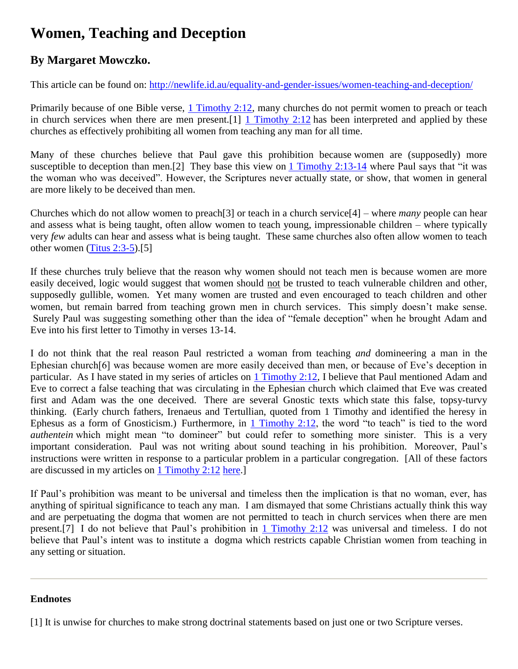## **Women, Teaching and Deception**

## **By Margaret Mowczko.**

This article can be found on: <http://newlife.id.au/equality-and-gender-issues/women-teaching-and-deception/>

Primarily because of one Bible verse, [1 Timothy 2:12,](http://biblia.com/bible/nasb95/1%20Timothy%202.12) many churches do not permit women to preach or teach in church services when there are men present.[1] [1 Timothy 2:12](http://biblia.com/bible/nasb95/1%20Timothy%202.12) has been interpreted and applied by these churches as effectively prohibiting all women from teaching any man for all time.

Many of these churches believe that Paul gave this prohibition because women are (supposedly) more susceptible to deception than men.[2] They base this view on [1 Timothy 2:13-14](http://biblia.com/bible/nasb95/1%20Timothy%202.13-14) where Paul says that "it was the woman who was deceived". However, the Scriptures never actually state, or show, that women in general are more likely to be deceived than men.

Churches which do not allow women to preach[3] or teach in a church service[4] – where *many* people can hear and assess what is being taught, often allow women to teach young, impressionable children – where typically very *few* adults can hear and assess what is being taught. These same churches also often allow women to teach other women [\(Titus 2:3-5\)](http://biblia.com/bible/nasb95/Titus%202.3-5).[5]

If these churches truly believe that the reason why women should not teach men is because women are more easily deceived, logic would suggest that women should not be trusted to teach vulnerable children and other, supposedly gullible, women. Yet many women are trusted and even encouraged to teach children and other women, but remain barred from teaching grown men in church services. This simply doesn't make sense. Surely Paul was suggesting something other than the idea of "female deception" when he brought Adam and Eve into his first letter to Timothy in verses 13-14.

I do not think that the real reason Paul restricted a woman from teaching *and* domineering a man in the Ephesian church[6] was because women are more easily deceived than men, or because of Eve's deception in particular. As I have stated in my series of articles on [1 Timothy 2:12,](http://biblia.com/bible/nasb95/1%20Timothy%202.12) I believe that Paul mentioned Adam and Eve to correct a false teaching that was circulating in the Ephesian church which claimed that Eve was created first and Adam was the one deceived. There are several Gnostic texts which state this false, topsy-turvy thinking. (Early church fathers, Irenaeus and Tertullian, quoted from 1 Timothy and identified the heresy in Ephesus as a form of Gnosticism.) Furthermore, in [1 Timothy 2:12,](http://biblia.com/bible/nasb95/1%20Timothy%202.12) the word "to teach" is tied to the word *authentein* which might mean "to domineer" but could refer to something more sinister. This is a very important consideration. Paul was not writing about sound teaching in his prohibition. Moreover, Paul's instructions were written in response to a particular problem in a particular congregation. [All of these factors are discussed in my articles on [1 Timothy 2:12](http://biblia.com/bible/nasb95/1%20Timothy%202.12) [here.](http://newlife.id.au/tag/1-timothy-212-in-context/)]

If Paul's prohibition was meant to be universal and timeless then the implication is that no woman, ever, has anything of spiritual significance to teach any man. I am dismayed that some Christians actually think this way and are perpetuating the dogma that women are not permitted to teach in church services when there are men present.[7] I do not believe that Paul's prohibition in [1 Timothy 2:12](http://biblia.com/bible/nasb95/1%20Timothy%202.12) was universal and timeless. I do not believe that Paul's intent was to institute a dogma which restricts capable Christian women from teaching in any setting or situation.

## **Endnotes**

[1] It is unwise for churches to make strong doctrinal statements based on just one or two Scripture verses.